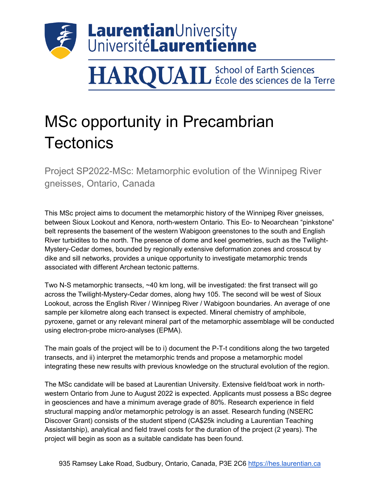

## **HARQUAIL** School of Earth Sciences

## MSc opportunity in Precambrian **Tectonics**

Project SP2022-MSc: Metamorphic evolution of the Winnipeg River gneisses, Ontario, Canada

This MSc project aims to document the metamorphic history of the Winnipeg River gneisses, between Sioux Lookout and Kenora, north-western Ontario. This Eo- to Neoarchean "pinkstone" belt represents the basement of the western Wabigoon greenstones to the south and English River turbidites to the north. The presence of dome and keel geometries, such as the Twilight-Mystery-Cedar domes, bounded by regionally extensive deformation zones and crosscut by dike and sill networks, provides a unique opportunity to investigate metamorphic trends associated with different Archean tectonic patterns.

Two N-S metamorphic transects, ~40 km long, will be investigated: the first transect will go across the Twilight-Mystery-Cedar domes, along hwy 105. The second will be west of Sioux Lookout, across the English River / Winnipeg River / Wabigoon boundaries. An average of one sample per kilometre along each transect is expected. Mineral chemistry of amphibole, pyroxene, garnet or any relevant mineral part of the metamorphic assemblage will be conducted using electron-probe micro-analyses (EPMA).

The main goals of the project will be to i) document the P-T-t conditions along the two targeted transects, and ii) interpret the metamorphic trends and propose a metamorphic model integrating these new results with previous knowledge on the structural evolution of the region.

The MSc candidate will be based at Laurentian University. Extensive field/boat work in northwestern Ontario from June to August 2022 is expected. Applicants must possess a BSc degree in geosciences and have a minimum average grade of 80%. Research experience in field structural mapping and/or metamorphic petrology is an asset. Research funding (NSERC Discover Grant) consists of the student stipend (CA\$25k including a Laurentian Teaching Assistantship), analytical and field travel costs for the duration of the project (2 years). The project will begin as soon as a suitable candidate has been found.